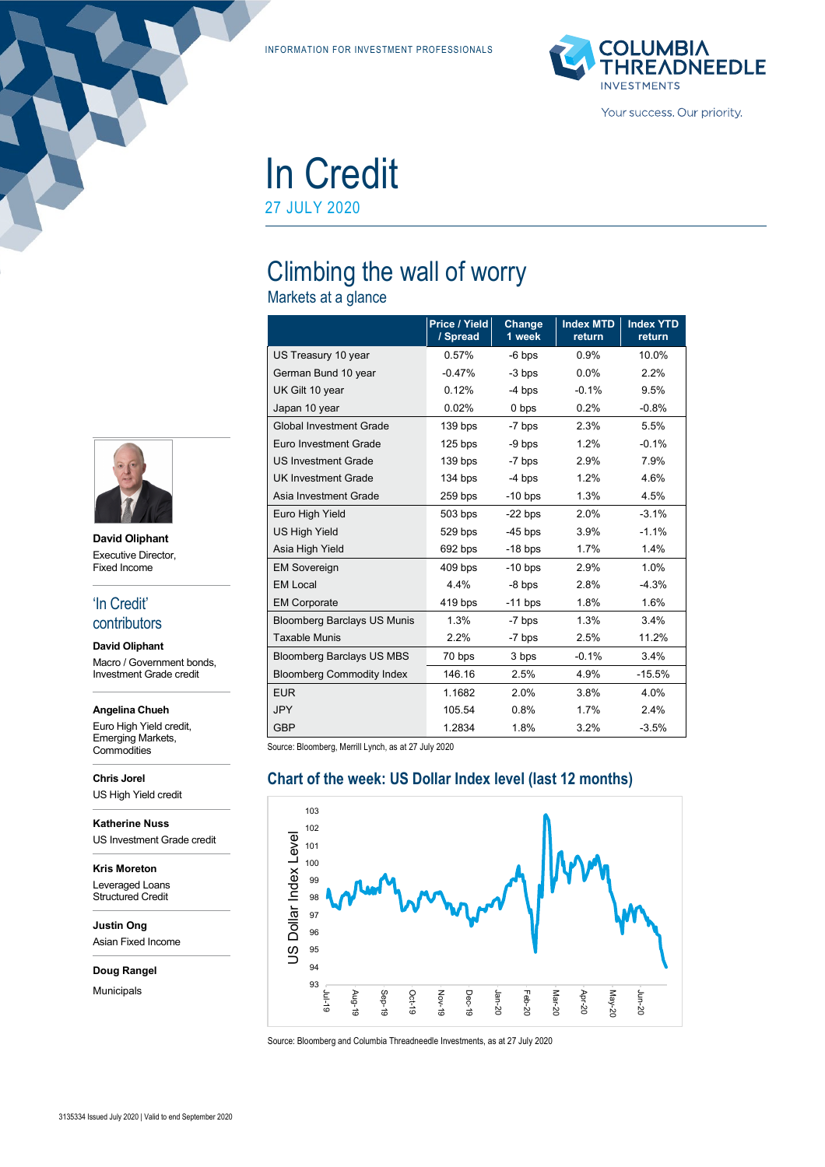INFORMATION FOR INVESTMENT PROFESSIONALS



In Credit 27 JULY 2020

# Climbing the wall of worry

Markets at a glance

|                                    | Price / Yield<br>/ Spread | Change<br>1 week | <b>Index MTD</b><br>return | <b>Index YTD</b><br>return |
|------------------------------------|---------------------------|------------------|----------------------------|----------------------------|
| US Treasury 10 year                | 0.57%                     | $-6$ bps         | 0.9%                       | 10.0%                      |
| German Bund 10 year                | $-0.47%$                  | -3 bps           | 0.0%                       | 2.2%                       |
| UK Gilt 10 year                    | 0.12%                     | $-4$ bps         | $-0.1%$                    | 9.5%                       |
| Japan 10 year                      | 0.02%                     | 0 bps            | 0.2%                       | $-0.8%$                    |
| <b>Global Investment Grade</b>     | 139 bps                   | $-7$ bps         | 2.3%                       | 5.5%                       |
| Euro Investment Grade              | $125$ bps                 | $-9$ bps         | 1.2%                       | $-0.1%$                    |
| <b>US Investment Grade</b>         | 139 bps                   | $-7$ bps         | 2.9%                       | 7.9%                       |
| <b>UK Investment Grade</b>         | 134 bps                   | $-4$ bps         | 1.2%                       | 4.6%                       |
| Asia Investment Grade              | 259 bps                   | $-10$ bps        | 1.3%                       | 4.5%                       |
| Euro High Yield                    | $503$ bps                 | $-22$ bps        | 2.0%                       | $-3.1%$                    |
| <b>US High Yield</b>               | 529 bps                   | $-45$ bps        | 3.9%                       | $-1.1%$                    |
| Asia High Yield                    | 692 bps                   | $-18$ bps        | 1.7%                       | 1.4%                       |
| <b>EM Sovereign</b>                | 409 bps                   | $-10$ bps        | 2.9%                       | 1.0%                       |
| <b>EM Local</b>                    | 4.4%                      | $-8$ bps         | 2.8%                       | $-4.3%$                    |
| <b>EM Corporate</b>                | 419 bps                   | $-11$ bps        | 1.8%                       | 1.6%                       |
| <b>Bloomberg Barclays US Munis</b> | 1.3%                      | $-7$ bps         | 1.3%                       | 3.4%                       |
| <b>Taxable Munis</b>               | 2.2%                      | -7 bps           | 2.5%                       | 11.2%                      |
| <b>Bloomberg Barclays US MBS</b>   | 70 bps                    | 3 bps            | $-0.1%$                    | 3.4%                       |
| <b>Bloomberg Commodity Index</b>   | 146.16                    | 2.5%             | 4.9%                       | $-15.5%$                   |
| <b>EUR</b>                         | 1.1682                    | 2.0%             | 3.8%                       | 4.0%                       |
| <b>JPY</b>                         | 105.54                    | 0.8%             | 1.7%                       | 2.4%                       |
| <b>GBP</b>                         | 1.2834                    | 1.8%             | 3.2%                       | $-3.5%$                    |

Source: Bloomberg, Merrill Lynch, as at 27 July 2020

Jul-19

Aug-19

Sep-19





Source: Bloomberg and Columbia Threadneedle Investments, as at 27 July 2020

Oct-19

Nov-19 Dec-19 Jan-20

Feb-20

Mar-20

Apr-20

May-20

Jun-20



**David Oliphant** Executive Director, Fixed Income

#### 'In Credit' contributors

**David Oliphant** Macro / Government bonds, Investment Grade credit

**Angelina Chueh**

Euro High Yield credit, Emerging Markets, **Commodities** 

**Chris Jorel** US High Yield credit

**Katherine Nuss** US Investment Grade credit

**Kris Moreton** Leveraged Loans Structured Credit

**Justin Ong** Asian Fixed Income

**Doug Rangel**

Municipals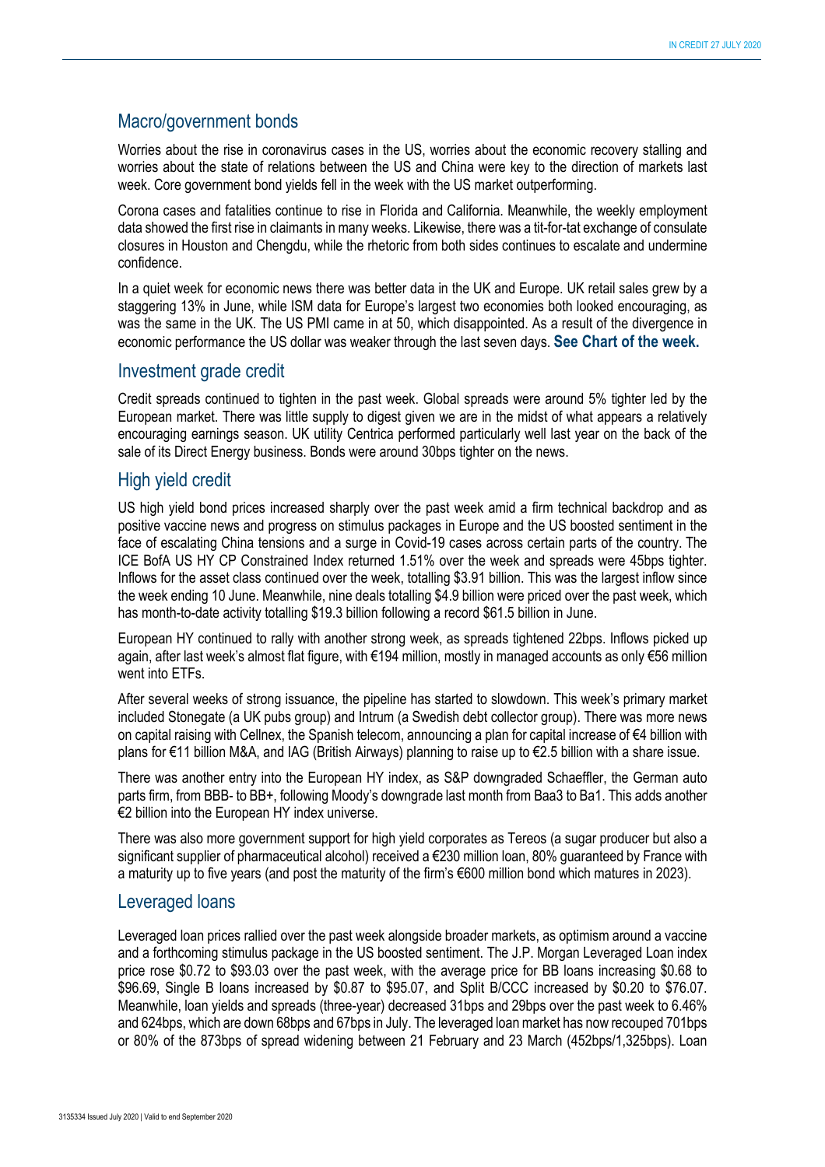#### Macro/government bonds

Worries about the rise in coronavirus cases in the US, worries about the economic recovery stalling and worries about the state of relations between the US and China were key to the direction of markets last week. Core government bond yields fell in the week with the US market outperforming.

Corona cases and fatalities continue to rise in Florida and California. Meanwhile, the weekly employment data showed the first rise in claimants in many weeks. Likewise, there was a tit-for-tat exchange of consulate closures in Houston and Chengdu, while the rhetoric from both sides continues to escalate and undermine confidence.

In a quiet week for economic news there was better data in the UK and Europe. UK retail sales grew by a staggering 13% in June, while ISM data for Europe's largest two economies both looked encouraging, as was the same in the UK. The US PMI came in at 50, which disappointed. As a result of the divergence in economic performance the US dollar was weaker through the last seven days. **See Chart of the week.**

#### Investment grade credit

Credit spreads continued to tighten in the past week. Global spreads were around 5% tighter led by the European market. There was little supply to digest given we are in the midst of what appears a relatively encouraging earnings season. UK utility Centrica performed particularly well last year on the back of the sale of its Direct Energy business. Bonds were around 30bps tighter on the news.

#### High yield credit

US high yield bond prices increased sharply over the past week amid a firm technical backdrop and as positive vaccine news and progress on stimulus packages in Europe and the US boosted sentiment in the face of escalating China tensions and a surge in Covid-19 cases across certain parts of the country. The ICE BofA US HY CP Constrained Index returned 1.51% over the week and spreads were 45bps tighter. Inflows for the asset class continued over the week, totalling \$3.91 billion. This was the largest inflow since the week ending 10 June. Meanwhile, nine deals totalling \$4.9 billion were priced over the past week, which has month-to-date activity totalling \$19.3 billion following a record \$61.5 billion in June.

European HY continued to rally with another strong week, as spreads tightened 22bps. Inflows picked up again, after last week's almost flat figure, with €194 million, mostly in managed accounts as only €56 million went into ETFs.

After several weeks of strong issuance, the pipeline has started to slowdown. This week's primary market included Stonegate (a UK pubs group) and Intrum (a Swedish debt collector group). There was more news on capital raising with Cellnex, the Spanish telecom, announcing a plan for capital increase of €4 billion with plans for €11 billion M&A, and IAG (British Airways) planning to raise up to €2.5 billion with a share issue.

There was another entry into the European HY index, as S&P downgraded Schaeffler, the German auto parts firm, from BBB- to BB+, following Moody's downgrade last month from Baa3 to Ba1. This adds another €2 billion into the European HY index universe.

There was also more government support for high yield corporates as Tereos (a sugar producer but also a significant supplier of pharmaceutical alcohol) received a €230 million loan, 80% guaranteed by France with a maturity up to five years (and post the maturity of the firm's €600 million bond which matures in 2023).

#### Leveraged loans

Leveraged loan prices rallied over the past week alongside broader markets, as optimism around a vaccine and a forthcoming stimulus package in the US boosted sentiment. The J.P. Morgan Leveraged Loan index price rose \$0.72 to \$93.03 over the past week, with the average price for BB loans increasing \$0.68 to \$96.69, Single B loans increased by \$0.87 to \$95.07, and Split B/CCC increased by \$0.20 to \$76.07. Meanwhile, loan yields and spreads (three-year) decreased 31bps and 29bps over the past week to 6.46% and 624bps, which are down 68bps and 67bps in July. The leveraged loan market has now recouped 701bps or 80% of the 873bps of spread widening between 21 February and 23 March (452bps/1,325bps). Loan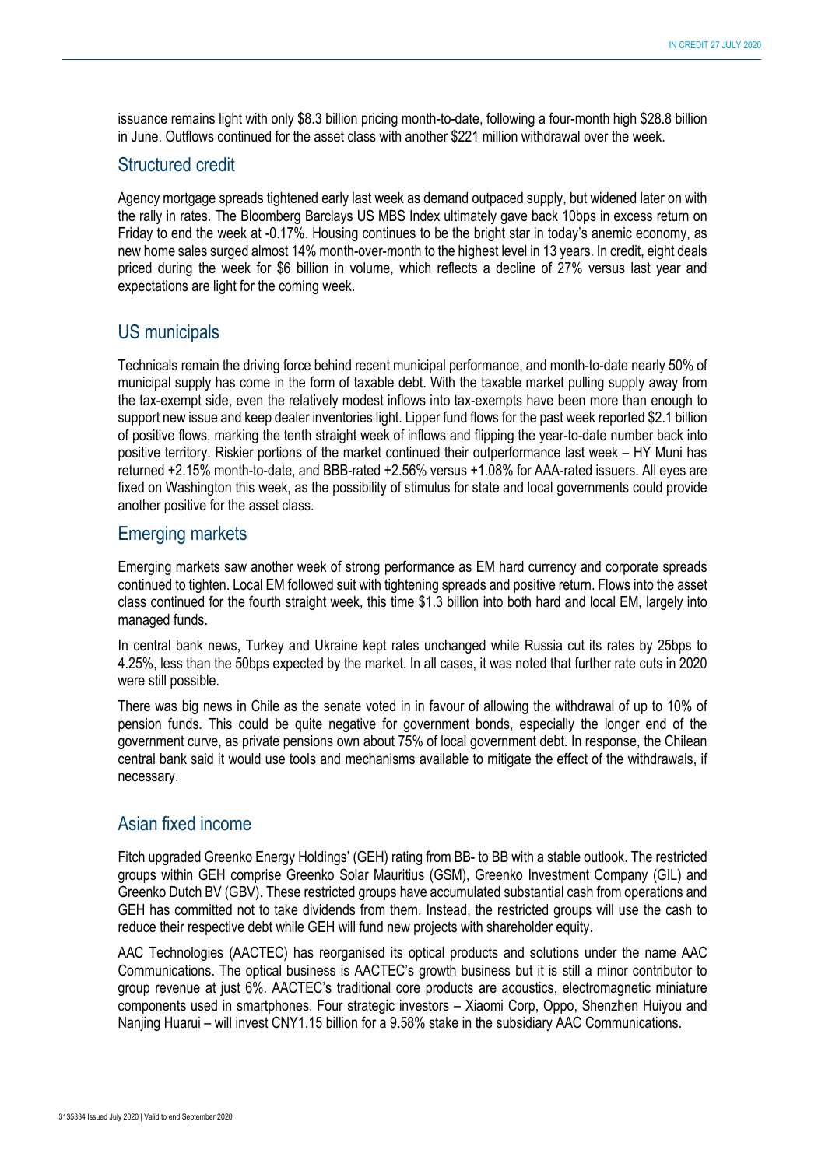issuance remains light with only \$8.3 billion pricing month-to-date, following a four-month high \$28.8 billion in June. Outflows continued for the asset class with another \$221 million withdrawal over the week.

## Structured credit

Agency mortgage spreads tightened early last week as demand outpaced supply, but widened later on with the rally in rates. The Bloomberg Barclays US MBS Index ultimately gave back 10bps in excess return on Friday to end the week at -0.17%. Housing continues to be the bright star in today's anemic economy, as new home sales surged almost 14% month-over-month to the highest level in 13 years. In credit, eight deals priced during the week for \$6 billion in volume, which reflects a decline of 27% versus last year and expectations are light for the coming week.

# US municipals

Technicals remain the driving force behind recent municipal performance, and month-to-date nearly 50% of municipal supply has come in the form of taxable debt. With the taxable market pulling supply away from the tax-exempt side, even the relatively modest inflows into tax-exempts have been more than enough to support new issue and keep dealer inventories light. Lipper fund flows for the past week reported \$2.1 billion of positive flows, marking the tenth straight week of inflows and flipping the year-to-date number back into positive territory. Riskier portions of the market continued their outperformance last week – HY Muni has returned +2.15% month-to-date, and BBB-rated +2.56% versus +1.08% for AAA-rated issuers. All eyes are fixed on Washington this week, as the possibility of stimulus for state and local governments could provide another positive for the asset class.

## Emerging markets

Emerging markets saw another week of strong performance as EM hard currency and corporate spreads continued to tighten. Local EM followed suit with tightening spreads and positive return. Flows into the asset class continued for the fourth straight week, this time \$1.3 billion into both hard and local EM, largely into managed funds.

In central bank news, Turkey and Ukraine kept rates unchanged while Russia cut its rates by 25bps to 4.25%, less than the 50bps expected by the market. In all cases, it was noted that further rate cuts in 2020 were still possible.

There was big news in Chile as the senate voted in in favour of allowing the withdrawal of up to 10% of pension funds. This could be quite negative for government bonds, especially the longer end of the government curve, as private pensions own about 75% of local government debt. In response, the Chilean central bank said it would use tools and mechanisms available to mitigate the effect of the withdrawals, if necessary.

## Asian fixed income

Fitch upgraded Greenko Energy Holdings' (GEH) rating from BB- to BB with a stable outlook. The restricted groups within GEH comprise Greenko Solar Mauritius (GSM), Greenko Investment Company (GIL) and Greenko Dutch BV (GBV). These restricted groups have accumulated substantial cash from operations and GEH has committed not to take dividends from them. Instead, the restricted groups will use the cash to reduce their respective debt while GEH will fund new projects with shareholder equity.

AAC Technologies (AACTEC) has reorganised its optical products and solutions under the name AAC Communications. The optical business is AACTEC's growth business but it is still a minor contributor to group revenue at just 6%. AACTEC's traditional core products are acoustics, electromagnetic miniature components used in smartphones. Four strategic investors – Xiaomi Corp, Oppo, Shenzhen Huiyou and Nanjing Huarui – will invest CNY1.15 billion for a 9.58% stake in the subsidiary AAC Communications.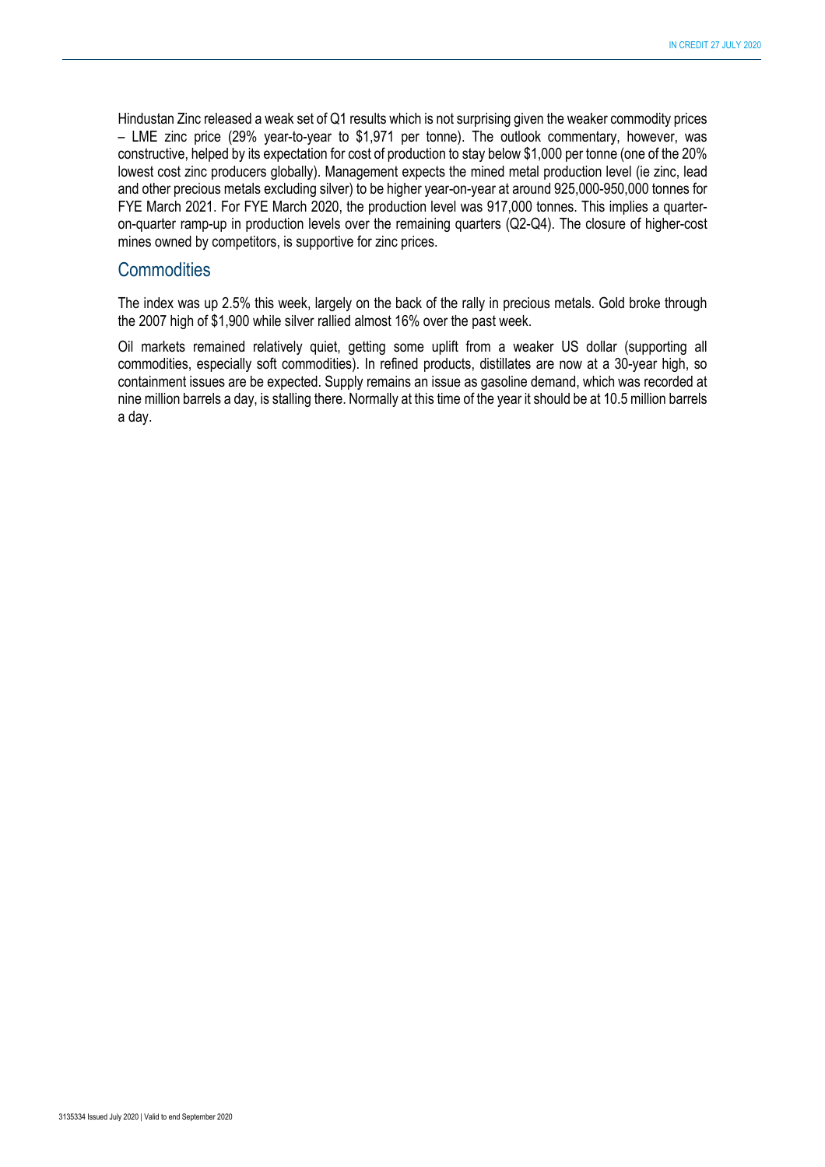Hindustan Zinc released a weak set of Q1 results which is not surprising given the weaker commodity prices – LME zinc price (29% year-to-year to \$1,971 per tonne). The outlook commentary, however, was constructive, helped by its expectation for cost of production to stay below \$1,000 per tonne (one of the 20% lowest cost zinc producers globally). Management expects the mined metal production level (ie zinc, lead and other precious metals excluding silver) to be higher year-on-year at around 925,000-950,000 tonnes for FYE March 2021. For FYE March 2020, the production level was 917,000 tonnes. This implies a quarteron-quarter ramp-up in production levels over the remaining quarters (Q2-Q4). The closure of higher-cost mines owned by competitors, is supportive for zinc prices.

#### **Commodities**

The index was up 2.5% this week, largely on the back of the rally in precious metals. Gold broke through the 2007 high of \$1,900 while silver rallied almost 16% over the past week.

Oil markets remained relatively quiet, getting some uplift from a weaker US dollar (supporting all commodities, especially soft commodities). In refined products, distillates are now at a 30-year high, so containment issues are be expected. Supply remains an issue as gasoline demand, which was recorded at nine million barrels a day, is stalling there. Normally at this time of the year it should be at 10.5 million barrels a day.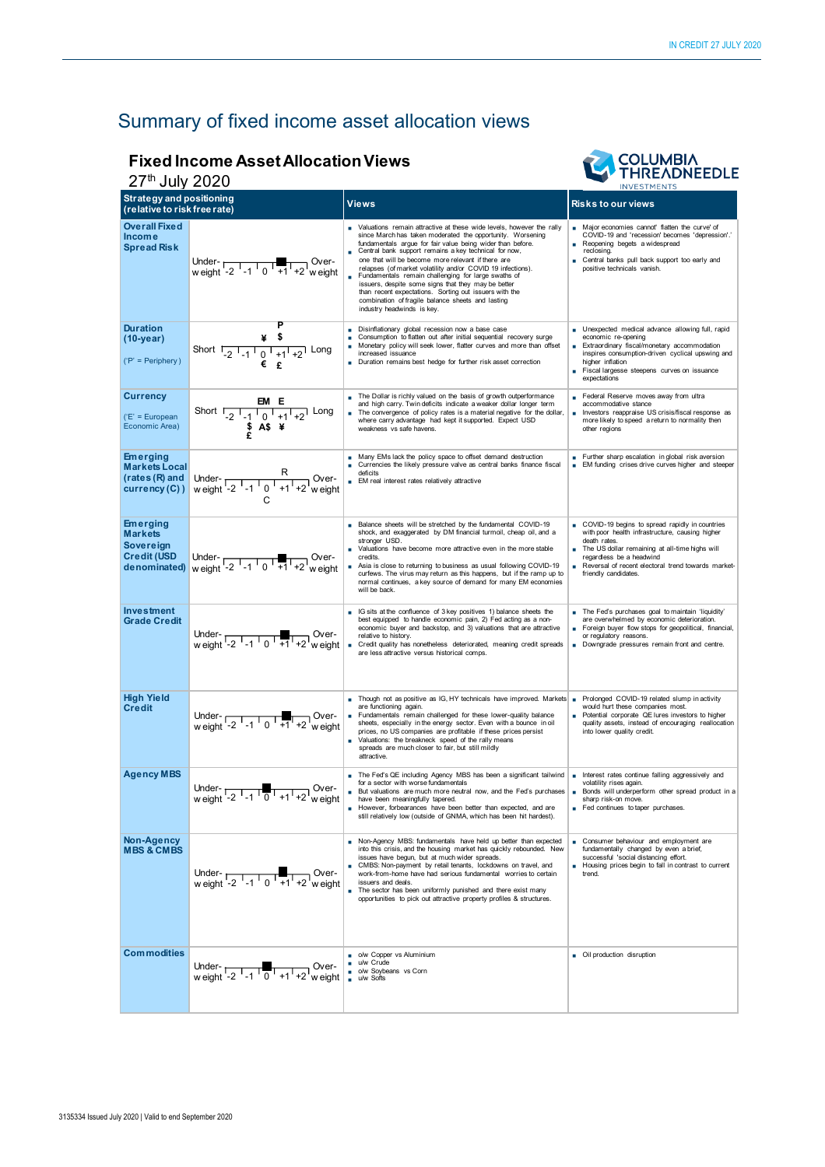# Summary of fixed income asset allocation views

#### **Fixed Income Asset Allocation Views**  27th July 2020



|                                                                                      | Z <sub>I</sub> July ZUZU<br><b>INVESTMENTS</b>                                       |                                                                                                                                                                                                                                                                                                                                                                                                                                                                                                                                                                                                                                           |                                                                                                                                                                                                                                                                                   |  |
|--------------------------------------------------------------------------------------|--------------------------------------------------------------------------------------|-------------------------------------------------------------------------------------------------------------------------------------------------------------------------------------------------------------------------------------------------------------------------------------------------------------------------------------------------------------------------------------------------------------------------------------------------------------------------------------------------------------------------------------------------------------------------------------------------------------------------------------------|-----------------------------------------------------------------------------------------------------------------------------------------------------------------------------------------------------------------------------------------------------------------------------------|--|
| <b>Strategy and positioning</b><br>(relative to risk free rate)                      |                                                                                      | <b>Views</b>                                                                                                                                                                                                                                                                                                                                                                                                                                                                                                                                                                                                                              | <b>Risks to our views</b>                                                                                                                                                                                                                                                         |  |
| <b>Overall Fixed</b><br><b>Income</b><br><b>Spread Risk</b>                          | Under-<br>weight -2 $-1$ 0 $+1$ +2 weight                                            | Valuations remain attractive at these wide levels, however the rally<br>since March has taken moderated the opportunity. Worsening<br>fundamentals argue for fair value being wider than before.<br>Central bank support remains a key technical for now,<br>one that will be become more relevant if there are<br>relapses (of market volatility and/or COVID 19 infections).<br>Fundamentals remain challenging for large swaths of<br>issuers, despite some signs that they may be better<br>than recent expectations. Sorting out issuers with the<br>combination of fragile balance sheets and lasting<br>industry headwinds is key. | Major economies cannot' flatten the curve' of<br>COVID-19 and 'recession' becomes 'depression'.'<br>Reopening begets a widespread<br>reclosing.<br>Central banks pull back support too early and<br>positive technicals vanish.                                                   |  |
| <b>Duration</b><br>$(10 - year)$<br>$('P' = Periphery)$                              | Short $\frac{4}{-2}$ $\frac{4}{-1}$ $\frac{4}{0}$ $\frac{4}{+1}$ $\frac{1}{+2}$ Long | Disinflationary global recession now a base case<br>Consumption to flatten out after initial sequential recovery surge<br>Monetary policy will seek lower, flatter curves and more than offset<br>increased issuance<br>Duration remains best hedge for further risk asset correction                                                                                                                                                                                                                                                                                                                                                     | Unexpected medical advance allowing full, rapid<br>economic re-opening<br>Extraordinary fiscal/monetary accommodation<br>٠<br>inspires consumption-driven cyclical upswing and<br>higher inflation<br>Fiscal largesse steepens curves on issuance<br>expectations                 |  |
| <b>Currency</b><br>$(E' = European$<br>Economic Area)                                | Short $\frac{EM E}{2 \cdot 1 \cdot 0 \cdot 1 \cdot 1 \cdot 2}$ Long<br>\$ A\$ \;     | The Dollar is richly valued on the basis of growth outperformance<br>and high carry. Twin deficits indicate a weaker dollar longer term<br>The convergence of policy rates is a material negative for the dollar,<br>where carry advantage had kept it supported. Expect USD<br>weakness vs safe havens.                                                                                                                                                                                                                                                                                                                                  | Federal Reserve moves away from ultra<br>accommodative stance<br>Investors reappraise US crisis/fiscal response as<br>٠<br>more likely to speed a return to normality then<br>other regions                                                                                       |  |
| <b>Emerging</b><br><b>Markets Local</b><br>(rates (R) and<br>currency (C))           | Under-<br>weight $\frac{R}{-2 \cdot 1 \cdot 0 \cdot 1 + 1 + 2}$ weight               | Many EMs lack the policy space to offset demand destruction<br>Currencies the likely pressure valve as central banks finance fiscal<br>deficits<br>EM real interest rates relatively attractive                                                                                                                                                                                                                                                                                                                                                                                                                                           | Further sharp escalation in global risk aversion<br>EM funding crises drive curves higher and steeper                                                                                                                                                                             |  |
| <b>Emerging</b><br><b>Markets</b><br>Sovereign<br><b>Credit (USD</b><br>denominated) | Under- $\frac{1}{12}$ -1 0 +1 +2 weight                                              | Balance sheets will be stretched by the fundamental COVID-19<br>shock, and exaggerated by DM financial turmoil, cheap oil, and a<br>stronger USD.<br>Valuations have become more attractive even in the more stable<br>credits<br>Asia is close to returning to business as usual following COVID-19<br>curfews. The virus may return as this happens, but if the ramp up to<br>normal continues, a key source of demand for many EM economies<br>will be back.                                                                                                                                                                           | COVID-19 begins to spread rapidly in countries<br>with poor health infrastructure, causing higher<br>death rates<br>The US dollar remaining at all-time highs will<br>regardless be a headwind<br>Reversal of recent electoral trend towards market-<br>٠<br>friendly candidates. |  |
| Investment<br><b>Grade Credit</b>                                                    | Under- $\frac{1}{12}$ $\frac{1}{10}$ $\frac{1}{11}$ $\frac{1}{12}$ weight            | IG sits at the confluence of 3 key positives 1) balance sheets the<br>best equipped to handle economic pain, 2) Fed acting as a non-<br>economic buyer and backstop, and 3) valuations that are attractive<br>relative to history.<br>Credit quality has nonetheless deteriorated, meaning credit spreads<br>are less attractive versus historical comps.                                                                                                                                                                                                                                                                                 | The Fed's purchases goal to maintain 'liquidity'<br>٠<br>are overwhelmed by economic deterioration.<br>Foreign buyer flow stops for geopolitical, financial,<br>٠<br>or regulatory reasons.<br>Downgrade pressures remain front and centre.<br>٠                                  |  |
| <b>High Yield</b><br><b>Credit</b>                                                   | Under- $\overline{C_1C_2C_3}$ Over-<br>weight -2 -1 0 +1 +2 weight                   | Though not as positive as IG, HY technicals have improved. Markets  <br>are functioning again.<br>Fundamentals remain challenged for these lower-quality balance<br>sheets, especially in the energy sector. Even with a bounce in oil<br>prices, no US companies are profitable if these prices persist<br>Valuations: the breakneck speed of the rally means<br>spreads are much closer to fair, but still mildly<br>attractive.                                                                                                                                                                                                        | Prolonged COVID-19 related slump in activity<br>would hurt these companies most.<br>Potential corporate QE lures investors to higher<br>quality assets, instead of encouraging reallocation<br>into lower quality credit.                                                         |  |
| <b>Agency MBS</b>                                                                    | Under-<br>weight -2 $\frac{1}{2}$ -1 $\frac{1}{0}$ +1 +2 weight                      | The Fed's QE including Agency MBS has been a significant tailwind<br>for a sector with worse fundamentals<br>But valuations are much more neutral now, and the Fed's purchases<br>have been meaningfully tapered.<br>However, forbearances have been better than expected, and are<br>still relatively low (outside of GNMA, which has been hit hardest).                                                                                                                                                                                                                                                                                 | Interest rates continue falling aggressively and<br>×.<br>volatility rises again.<br>Bonds will underperform other spread product in a<br>٠<br>sharp risk-on move.<br>Fed continues to taper purchases.                                                                           |  |
| Non-Agency<br><b>MBS &amp; CMBS</b>                                                  | Under- $\frac{1}{2}$ -1 0 +1 +2 weight                                               | Non-Agency MBS: fundamentals have held up better than expected<br>into this crisis, and the housing market has quickly rebounded. New<br>issues have begun, but at much wider spreads.<br>CMBS: Non-payment by retail tenants, lockdowns on travel, and<br>work-from-home have had serious fundamental worries to certain<br>issuers and deals.<br>The sector has been uniformly punished and there exist many<br>opportunities to pick out attractive property profiles & structures.                                                                                                                                                    | Consumer behaviour and employment are<br>٠<br>fundamentally changed by even a brief,<br>successful 'social distancing effort.<br>Housing prices begin to fall in contrast to current<br>٠<br>trend.                                                                               |  |
| <b>Commodities</b>                                                                   | Under- $\frac{1}{12}$ -1 $\frac{1}{0}$ +1 +2 weight                                  | o/w Copper vs Aluminium<br>u/w Crude<br>o/w Soybeans vs Corn<br>u/w Softs                                                                                                                                                                                                                                                                                                                                                                                                                                                                                                                                                                 | Oil production disruption                                                                                                                                                                                                                                                         |  |